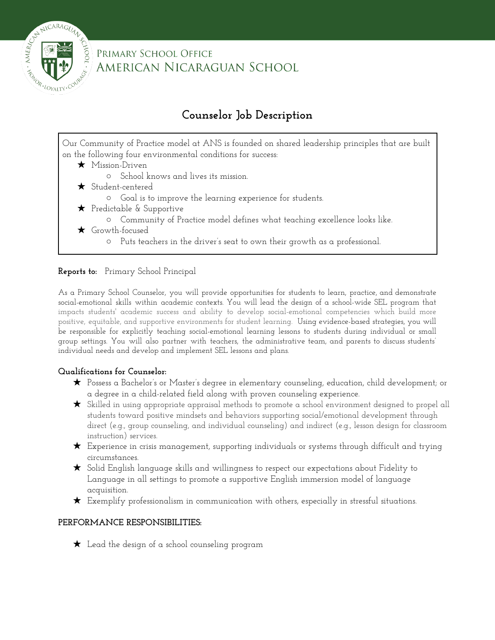

PRIMARY SCHOOL OFFICE AMERICAN NICARAGUAN SCHOOL

# **Counselor Job Description**

Our Community of Practice model at ANS is founded on shared leadership principles that are built on the following four environmental conditions for success:

- ★ Mission-Driven
	- School knows and lives its mission.
- ★ Student-centered
	- Goal is to improve the learning experience for students.
- ★ Predictable & Supportive
	- Community of Practice model defines what teaching excellence looks like.
- ★ Growth-focused
	- Puts teachers in the driver's seat to own their growth as a professional.

#### **Reports to:** Primary School Principal

As a Primary School Counselor, you will provide opportunities for students to learn, practice, and demonstrate social-emotional skills within academic contexts. You will lead the design of a school-wide SEL program that impacts students' academic success and ability to develop social-emotional competencies which build more positive, equitable, and supportive environments for student learning. Using evidence-based strategies, you will be responsible for explicitly teaching social-emotional learning lessons to students during individual or small group settings. You will also partner with teachers, the administrative team, and parents to discuss students' individual needs and develop and implement SEL lessons and plans.

### **Qualifications for Counselor:**

- ★ Possess a Bachelor's or Master's degree in elementary counseling, education, child development; or a degree in a child-related field along with proven counseling experience.
- ★ Skilled in using appropriate appraisal methods to promote a school environment designed to propel all students toward positive mindsets and behaviors supporting social/emotional development through direct (e.g., group counseling, and individual counseling) and indirect (e.g., lesson design for classroom instruction) services.
- $\bigstar$  Experience in crisis management, supporting individuals or systems through difficult and trying circumstances.
- ★ Solid English language skills and willingness to respect our expectations about Fidelity to Language in all settings to promote a supportive English immersion model of language acquisition.
- $\star$  Exemplify professionalism in communication with others, especially in stressful situations.

### **PERFORMANCE RESPONSIBILITIES:**

★ Lead the design of a school counseling program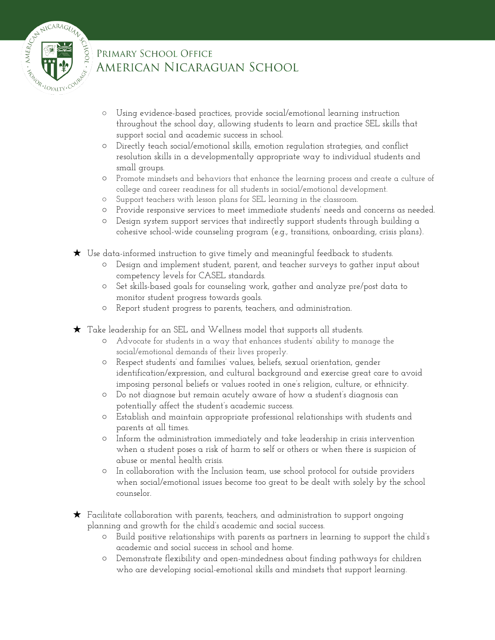

## PRIMARY SCHOOL OFFICE AMERICAN NICARAGUAN SCHOOL

- Using evidence-based practices, provide social/emotional learning instruction throughout the school day, allowing students to learn and practice SEL skills that support social and academic success in school.
- Directly teach social/emotional skills, emotion regulation strategies, and conflict resolution skills in a developmentally appropriate way to individual students and small groups.
- Promote mindsets and behaviors that enhance the learning process and create a culture of college and career readiness for all students in social/emotional development.
- Support teachers with lesson plans for SEL learning in the classroom.
- Provide responsive services to meet immediate students' needs and concerns as needed.
- Design system support services that indirectly support students through building a cohesive school-wide counseling program (e.g., transitions, onboarding, crisis plans).
- ★ Use data-informed instruction to give timely and meaningful feedback to students.
	- Design and implement student, parent, and teacher surveys to gather input about competency levels for CASEL standards.
	- Set skills-based goals for counseling work, gather and analyze pre/post data to monitor student progress towards goals.
	- Report student progress to parents, teachers, and administration.
- ★ Take leadership for an SEL and Wellness model that supports all students.
	- Advocate for students in a way that enhances students' ability to manage the social/emotional demands of their lives properly.
	- Respect students' and families' values, beliefs, sexual orientation, gender identification/expression, and cultural background and exercise great care to avoid imposing personal beliefs or values rooted in one's religion, culture, or ethnicity.
	- Do not diagnose but remain acutely aware of how a student's diagnosis can potentially affect the student's academic success.
	- Establish and maintain appropriate professional relationships with students and parents at all times.
	- Inform the administration immediately and take leadership in crisis intervention when a student poses a risk of harm to self or others or when there is suspicion of abuse or mental health crisis.
	- In collaboration with the Inclusion team, use school protocol for outside providers when social/emotional issues become too great to be dealt with solely by the school counselor.
- ★ Facilitate collaboration with parents, teachers, and administration to support ongoing planning and growth for the child's academic and social success.
	- Build positive relationships with parents as partners in learning to support the child's academic and social success in school and home.
	- Demonstrate flexibility and open-mindedness about finding pathways for children who are developing social-emotional skills and mindsets that support learning.